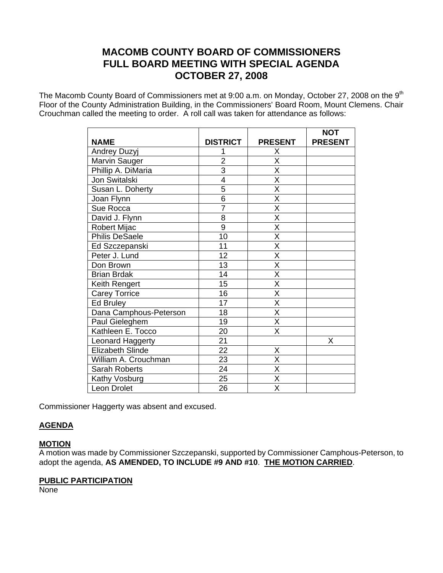# **MACOMB COUNTY BOARD OF COMMISSIONERS FULL BOARD MEETING WITH SPECIAL AGENDA OCTOBER 27, 2008**

The Macomb County Board of Commissioners met at 9:00 a.m. on Monday, October 27, 2008 on the 9<sup>th</sup> Floor of the County Administration Building, in the Commissioners' Board Room, Mount Clemens. Chair Crouchman called the meeting to order. A roll call was taken for attendance as follows:

|                        |                 |                         | <b>NOT</b>     |
|------------------------|-----------------|-------------------------|----------------|
| <b>NAME</b>            | <b>DISTRICT</b> | <b>PRESENT</b>          | <b>PRESENT</b> |
| Andrey Duzyj           | 1               | Χ                       |                |
| Marvin Sauger          | $\overline{2}$  | $\overline{\mathsf{x}}$ |                |
| Phillip A. DiMaria     | $\overline{3}$  | $\overline{\mathsf{x}}$ |                |
| Jon Switalski          | $\overline{4}$  | $\overline{\mathsf{x}}$ |                |
| Susan L. Doherty       | $\overline{5}$  | $\overline{\mathsf{X}}$ |                |
| Joan Flynn             | $\overline{6}$  | $\overline{\mathsf{x}}$ |                |
| Sue Rocca              | $\overline{7}$  | $\overline{\mathsf{x}}$ |                |
| David J. Flynn         | 8               | $\overline{\mathsf{x}}$ |                |
| Robert Mijac           | 9               | $\overline{\mathsf{x}}$ |                |
| <b>Philis DeSaele</b>  | 10              | $\overline{\mathsf{x}}$ |                |
| Ed Szczepanski         | 11              | $\overline{\mathsf{x}}$ |                |
| Peter J. Lund          | 12              | $\overline{\mathsf{x}}$ |                |
| Don Brown              | 13              | X                       |                |
| <b>Brian Brdak</b>     | 14              | $\overline{\mathsf{x}}$ |                |
| Keith Rengert          | 15              | $\overline{\mathsf{x}}$ |                |
| <b>Carey Torrice</b>   | 16              | $\overline{\mathsf{X}}$ |                |
| Ed Bruley              | 17              | $\overline{\mathsf{x}}$ |                |
| Dana Camphous-Peterson | 18              | $\overline{\mathsf{x}}$ |                |
| Paul Gieleghem         | 19              | $\overline{\mathsf{X}}$ |                |
| Kathleen E. Tocco      | 20              | $\overline{\mathsf{x}}$ |                |
| Leonard Haggerty       | 21              |                         | X              |
| Elizabeth Slinde       | 22              | Χ                       |                |
| William A. Crouchman   | 23              | X                       |                |
| <b>Sarah Roberts</b>   | 24              | $\overline{\mathsf{x}}$ |                |
| Kathy Vosburg          | 25              | $\overline{\mathsf{x}}$ |                |
| Leon Drolet            | 26              | X                       |                |

Commissioner Haggerty was absent and excused.

### **AGENDA**

### **MOTION**

A motion was made by Commissioner Szczepanski, supported by Commissioner Camphous-Peterson, to adopt the agenda, **AS AMENDED, TO INCLUDE #9 AND #10**. **THE MOTION CARRIED**.

### **PUBLIC PARTICIPATION**

**None**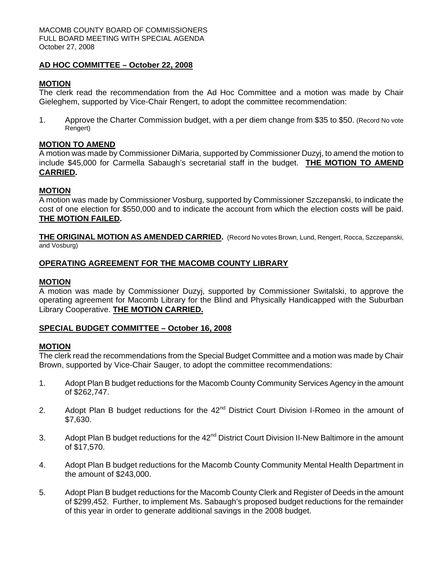### **AD HOC COMMITTEE – October 22, 2008**

### **MOTION**

The clerk read the recommendation from the Ad Hoc Committee and a motion was made by Chair Gieleghem, supported by Vice-Chair Rengert, to adopt the committee recommendation:

1. Approve the Charter Commission budget, with a per diem change from \$35 to \$50. (Record No vote Rengert)

#### **MOTION TO AMEND**

A motion was made by Commissioner DiMaria, supported by Commissioner Duzyj, to amend the motion to include \$45,000 for Carmella Sabaugh's secretarial staff in the budget. **THE MOTION TO AMEND CARRIED.** 

### **MOTION**

A motion was made by Commissioner Vosburg, supported by Commissioner Szczepanski, to indicate the cost of one election for \$550,000 and to indicate the account from which the election costs will be paid. **THE MOTION FAILED.** 

**THE ORIGINAL MOTION AS AMENDED CARRIED.** (Record No votes Brown, Lund, Rengert, Rocca, Szczepanski, and Vosburg)

#### **OPERATING AGREEMENT FOR THE MACOMB COUNTY LIBRARY**

#### **MOTION**

A motion was made by Commissioner Duzyj, supported by Commissioner Switalski, to approve the operating agreement for Macomb Library for the Blind and Physically Handicapped with the Suburban Library Cooperative. **THE MOTION CARRIED.** 

#### **SPECIAL BUDGET COMMITTEE – October 16, 2008**

#### **MOTION**

The clerk read the recommendations from the Special Budget Committee and a motion was made by Chair Brown, supported by Vice-Chair Sauger, to adopt the committee recommendations:

- 1. Adopt Plan B budget reductions for the Macomb County Community Services Agency in the amount of \$262,747.
- 2. Adopt Plan B budget reductions for the  $42<sup>nd</sup>$  District Court Division I-Romeo in the amount of \$7,630.
- 3. Adopt Plan B budget reductions for the 42<sup>nd</sup> District Court Division II-New Baltimore in the amount of \$17,570.
- 4. Adopt Plan B budget reductions for the Macomb County Community Mental Health Department in the amount of \$243,000.
- 5. Adopt Plan B budget reductions for the Macomb County Clerk and Register of Deeds in the amount of \$299,452. Further, to implement Ms. Sabaugh's proposed budget reductions for the remainder of this year in order to generate additional savings in the 2008 budget.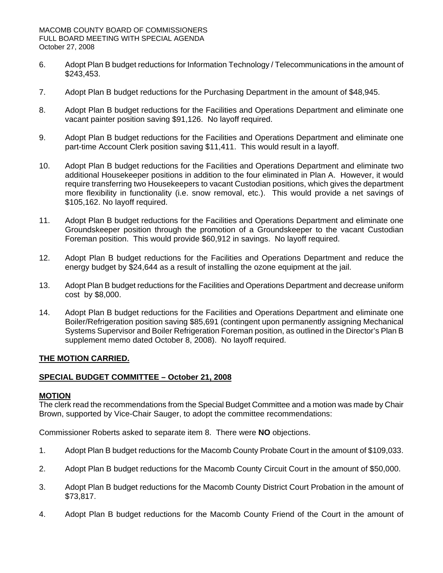- 6. Adopt Plan B budget reductions for Information Technology / Telecommunications in the amount of \$243,453.
- 7. Adopt Plan B budget reductions for the Purchasing Department in the amount of \$48,945.
- 8. Adopt Plan B budget reductions for the Facilities and Operations Department and eliminate one vacant painter position saving \$91,126. No layoff required.
- 9. Adopt Plan B budget reductions for the Facilities and Operations Department and eliminate one part-time Account Clerk position saving \$11,411. This would result in a layoff.
- 10. Adopt Plan B budget reductions for the Facilities and Operations Department and eliminate two additional Housekeeper positions in addition to the four eliminated in Plan A. However, it would require transferring two Housekeepers to vacant Custodian positions, which gives the department more flexibility in functionality (i.e. snow removal, etc.). This would provide a net savings of \$105,162. No lavoff required.
- 11. Adopt Plan B budget reductions for the Facilities and Operations Department and eliminate one Groundskeeper position through the promotion of a Groundskeeper to the vacant Custodian Foreman position. This would provide \$60,912 in savings. No layoff required.
- 12. Adopt Plan B budget reductions for the Facilities and Operations Department and reduce the energy budget by \$24,644 as a result of installing the ozone equipment at the jail.
- 13. Adopt Plan B budget reductions for the Facilities and Operations Department and decrease uniform cost by \$8,000.
- 14. Adopt Plan B budget reductions for the Facilities and Operations Department and eliminate one Boiler/Refrigeration position saving \$85,691 (contingent upon permanently assigning Mechanical Systems Supervisor and Boiler Refrigeration Foreman position, as outlined in the Director's Plan B supplement memo dated October 8, 2008). No layoff required.

#### **THE MOTION CARRIED.**

#### **SPECIAL BUDGET COMMITTEE – October 21, 2008**

#### **MOTION**

The clerk read the recommendations from the Special Budget Committee and a motion was made by Chair Brown, supported by Vice-Chair Sauger, to adopt the committee recommendations:

Commissioner Roberts asked to separate item 8. There were **NO** objections.

- 1. Adopt Plan B budget reductions for the Macomb County Probate Court in the amount of \$109,033.
- 2. Adopt Plan B budget reductions for the Macomb County Circuit Court in the amount of \$50,000.
- 3. Adopt Plan B budget reductions for the Macomb County District Court Probation in the amount of \$73,817.
- 4. Adopt Plan B budget reductions for the Macomb County Friend of the Court in the amount of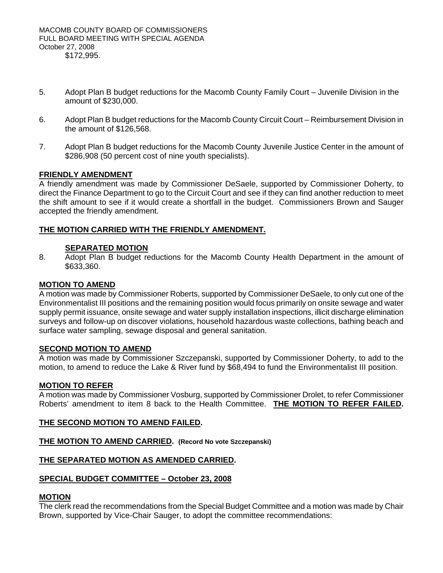- 5. Adopt Plan B budget reductions for the Macomb County Family Court Juvenile Division in the amount of \$230,000.
- 6. Adopt Plan B budget reductions for the Macomb County Circuit Court Reimbursement Division in the amount of \$126,568.
- 7. Adopt Plan B budget reductions for the Macomb County Juvenile Justice Center in the amount of \$286,908 (50 percent cost of nine youth specialists).

### **FRIENDLY AMENDMENT**

A friendly amendment was made by Commissioner DeSaele, supported by Commissioner Doherty, to direct the Finance Department to go to the Circuit Court and see if they can find another reduction to meet the shift amount to see if it would create a shortfall in the budget. Commissioners Brown and Sauger accepted the friendly amendment.

### **THE MOTION CARRIED WITH THE FRIENDLY AMENDMENT.**

### **SEPARATED MOTION**

8. Adopt Plan B budget reductions for the Macomb County Health Department in the amount of \$633,360.

### **MOTION TO AMEND**

A motion was made by Commissioner Roberts, supported by Commissioner DeSaele, to only cut one of the Environmentalist III positions and the remaining position would focus primarily on onsite sewage and water supply permit issuance, onsite sewage and water supply installation inspections, illicit discharge elimination surveys and follow-up on discover violations, household hazardous waste collections, bathing beach and surface water sampling, sewage disposal and general sanitation.

### **SECOND MOTION TO AMEND**

A motion was made by Commissioner Szczepanski, supported by Commissioner Doherty, to add to the motion, to amend to reduce the Lake & River fund by \$68,494 to fund the Environmentalist III position.

#### **MOTION TO REFER**

A motion was made by Commissioner Vosburg, supported by Commissioner Drolet, to refer Commissioner Roberts' amendment to item 8 back to the Health Committee. **THE MOTION TO REFER FAILED.**

### **THE SECOND MOTION TO AMEND FAILED.**

### **THE MOTION TO AMEND CARRIED. (Record No vote Szczepanski)**

#### **THE SEPARATED MOTION AS AMENDED CARRIED.**

#### **SPECIAL BUDGET COMMITTEE – October 23, 2008**

#### **MOTION**

The clerk read the recommendations from the Special Budget Committee and a motion was made by Chair Brown, supported by Vice-Chair Sauger, to adopt the committee recommendations: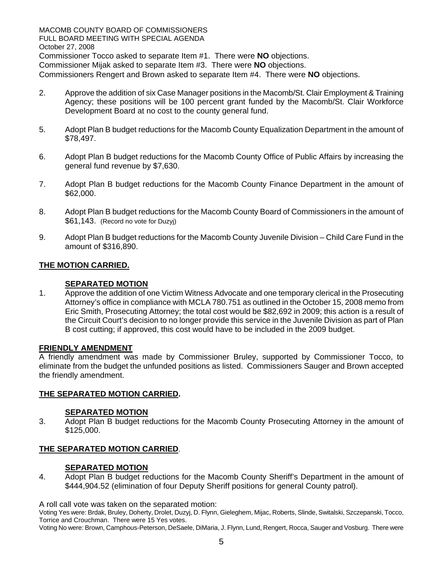MACOMB COUNTY BOARD OF COMMISSIONERS FULL BOARD MEETING WITH SPECIAL AGENDA October 27, 2008 Commissioner Tocco asked to separate Item #1. There were **NO** objections. Commissioner Mijak asked to separate Item #3. There were **NO** objections. Commissioners Rengert and Brown asked to separate Item #4. There were **NO** objections.

- 2. Approve the addition of six Case Manager positions in the Macomb/St. Clair Employment & Training Agency; these positions will be 100 percent grant funded by the Macomb/St. Clair Workforce Development Board at no cost to the county general fund.
- 5. Adopt Plan B budget reductions for the Macomb County Equalization Department in the amount of \$78,497.
- 6. Adopt Plan B budget reductions for the Macomb County Office of Public Affairs by increasing the general fund revenue by \$7,630.
- 7. Adopt Plan B budget reductions for the Macomb County Finance Department in the amount of \$62,000.
- 8. Adopt Plan B budget reductions for the Macomb County Board of Commissioners in the amount of \$61,143. (Record no vote for Duzyj)
- 9. Adopt Plan B budget reductions for the Macomb County Juvenile Division Child Care Fund in the amount of \$316,890.

### **THE MOTION CARRIED.**

### **SEPARATED MOTION**

1. Approve the addition of one Victim Witness Advocate and one temporary clerical in the Prosecuting Attorney's office in compliance with MCLA 780.751 as outlined in the October 15, 2008 memo from Eric Smith, Prosecuting Attorney; the total cost would be \$82,692 in 2009; this action is a result of the Circuit Court's decision to no longer provide this service in the Juvenile Division as part of Plan B cost cutting; if approved, this cost would have to be included in the 2009 budget.

### **FRIENDLY AMENDMENT**

A friendly amendment was made by Commissioner Bruley, supported by Commissioner Tocco, to eliminate from the budget the unfunded positions as listed. Commissioners Sauger and Brown accepted the friendly amendment.

### **THE SEPARATED MOTION CARRIED.**

#### **SEPARATED MOTION**

3. Adopt Plan B budget reductions for the Macomb County Prosecuting Attorney in the amount of \$125,000.

### **THE SEPARATED MOTION CARRIED**.

#### **SEPARATED MOTION**

4. Adopt Plan B budget reductions for the Macomb County Sheriff's Department in the amount of \$444,904.52 (elimination of four Deputy Sheriff positions for general County patrol).

A roll call vote was taken on the separated motion:

Voting Yes were: Brdak, Bruley, Doherty, Drolet, Duzyj, D. Flynn, Gieleghem, Mijac, Roberts, Slinde, Switalski, Szczepanski, Tocco, Torrice and Crouchman. There were 15 Yes votes.

Voting No were: Brown, Camphous-Peterson, DeSaele, DiMaria, J. Flynn, Lund, Rengert, Rocca, Sauger and Vosburg. There were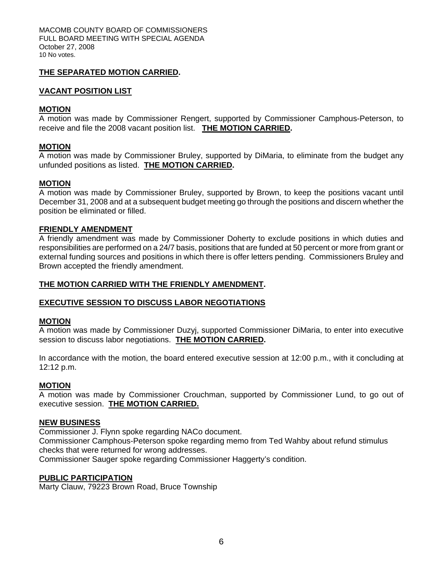MACOMB COUNTY BOARD OF COMMISSIONERS FULL BOARD MEETING WITH SPECIAL AGENDA October 27, 2008 10 No votes.

### **THE SEPARATED MOTION CARRIED.**

### **VACANT POSITION LIST**

### **MOTION**

A motion was made by Commissioner Rengert, supported by Commissioner Camphous-Peterson, to receive and file the 2008 vacant position list. **THE MOTION CARRIED.** 

### **MOTION**

A motion was made by Commissioner Bruley, supported by DiMaria, to eliminate from the budget any unfunded positions as listed. **THE MOTION CARRIED.** 

### **MOTION**

A motion was made by Commissioner Bruley, supported by Brown, to keep the positions vacant until December 31, 2008 and at a subsequent budget meeting go through the positions and discern whether the position be eliminated or filled.

### **FRIENDLY AMENDMENT**

A friendly amendment was made by Commissioner Doherty to exclude positions in which duties and responsibilities are performed on a 24/7 basis, positions that are funded at 50 percent or more from grant or external funding sources and positions in which there is offer letters pending. Commissioners Bruley and Brown accepted the friendly amendment.

### **THE MOTION CARRIED WITH THE FRIENDLY AMENDMENT.**

#### **EXECUTIVE SESSION TO DISCUSS LABOR NEGOTIATIONS**

#### **MOTION**

A motion was made by Commissioner Duzyj, supported Commissioner DiMaria, to enter into executive session to discuss labor negotiations. **THE MOTION CARRIED.** 

In accordance with the motion, the board entered executive session at 12:00 p.m., with it concluding at 12:12 p.m.

#### **MOTION**

A motion was made by Commissioner Crouchman, supported by Commissioner Lund, to go out of executive session. **THE MOTION CARRIED.**

#### **NEW BUSINESS**

Commissioner J. Flynn spoke regarding NACo document.

Commissioner Camphous-Peterson spoke regarding memo from Ted Wahby about refund stimulus checks that were returned for wrong addresses.

Commissioner Sauger spoke regarding Commissioner Haggerty's condition.

### **PUBLIC PARTICIPATION**

Marty Clauw, 79223 Brown Road, Bruce Township